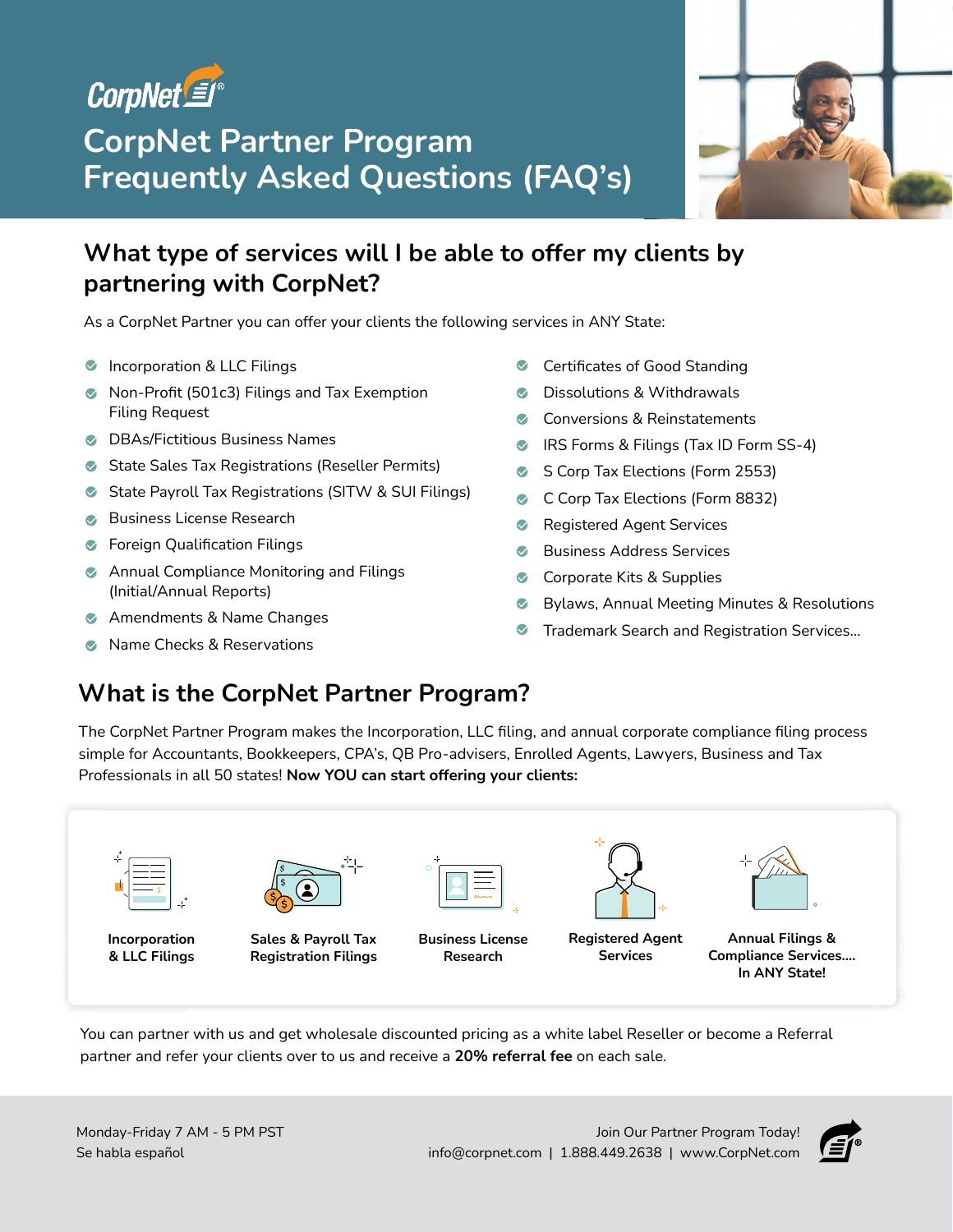

# **CorpNet Partner Program Frequently Asked Questions (FAQ's)**



# **What type of services will I be able to offer my clients by partnering with CorpNet?**

As a CorpNet Partner you can offer your clients the following services in ANY State:

- **Incorporation & LLC Filings**
- Non-Profit (501c3) Filings and Tax Exemption Filing Request
- **C** DBAs/Fictitious Business Names
- State Sales Tax Registrations (Reseller Permits)
- State Payroll Tax Registrations (SITW & SUI Filings)
- Business License Research
- **S** Foreign Qualification Filings
- **Annual Compliance Monitoring and Filings** (Initial/Annual Reports)
- **Amendments & Name Changes**
- Name Checks & Reservations
- **◆** Certificates of Good Standing
- **C** Dissolutions & Withdrawals
- Conversions & Reinstatements  $\bullet$
- **IRS Forms & Filings (Tax ID Form SS-4)**
- S Corp Tax Elections (Form 2553)  $\bullet$
- C Corp Tax Elections (Form 8832)
- **Registered Agent Services**
- Business Address Services  $\bullet$
- Corporate Kits & Supplies
- $\bullet$ Bylaws, Annual Meeting Minutes & Resolutions
- $\bullet$ Trademark Search and Registration Services…

# **What is the CorpNet Partner Program?**

The CorpNet Partner Program makes the Incorporation, LLC filing, and annual corporate compliance filing process simple for Accountants, Bookkeepers, CPA's, QB Pro-advisers, Enrolled Agents, Lawyers, Business and Tax Professionals in all 50 states! **Now YOU can start offering your clients:**



**Incorporation & LLC Filings**



**Sales & Payroll Tax Registration Filings** 



**Business License Research**



**Registered Agent Services**



**Annual Filings & Compliance Services…. In ANY State!**

You can partner with us and get wholesale discounted pricing as a white label Reseller or become a Referral partner and refer your clients over to us and receive a **20% referral fee** on each sale.

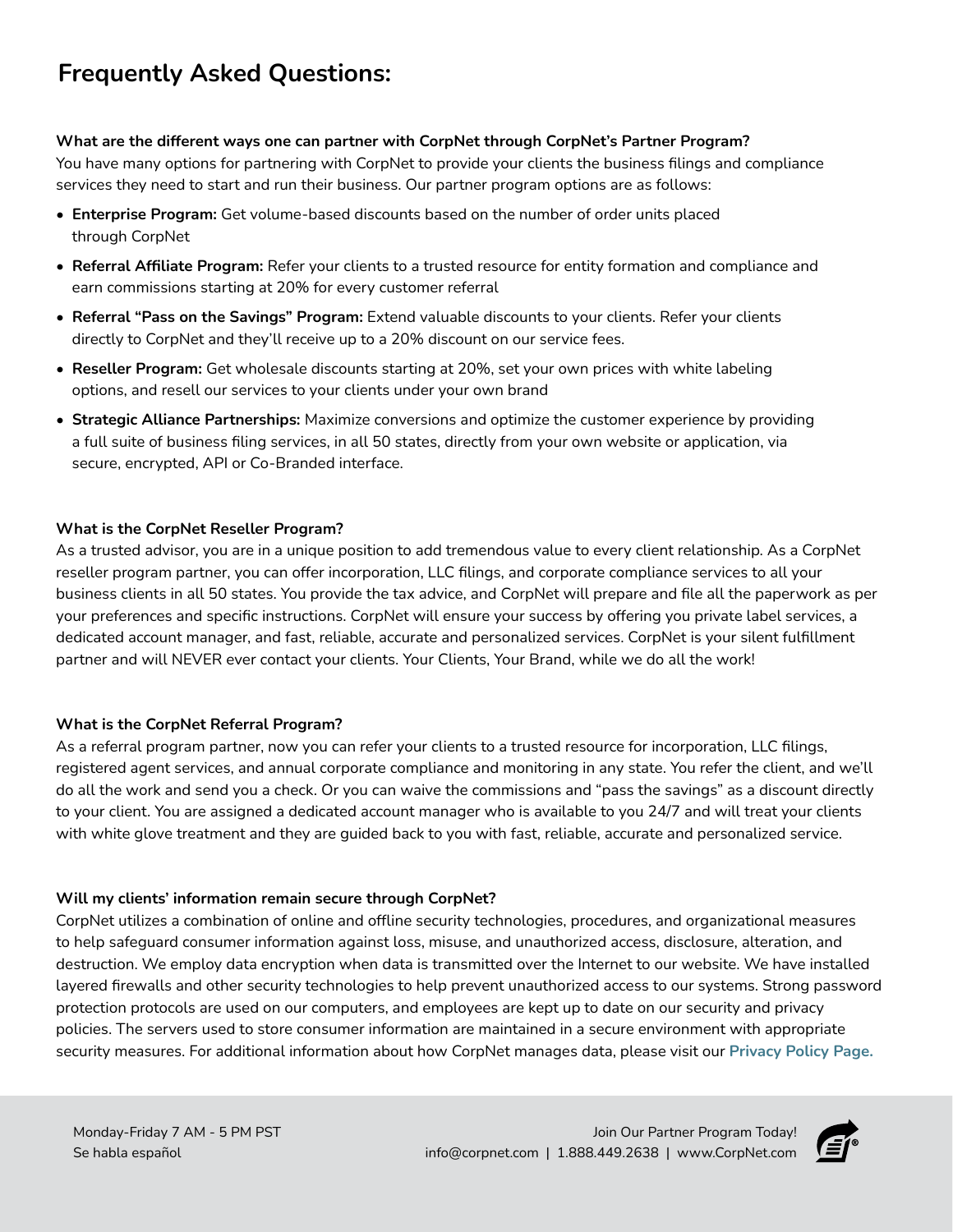# **Frequently Asked Questions:**

# **What are the different ways one can partner with CorpNet through CorpNet's Partner Program?**

You have many options for partnering with CorpNet to provide your clients the business filings and compliance services they need to start and run their business. Our partner program options are as follows:

- **Enterprise Program:** Get volume-based discounts based on the number of order units placed through CorpNet
- **Referral Affiliate Program:** Refer your clients to a trusted resource for entity formation and compliance and earn commissions starting at 20% for every customer referral
- **Referral "Pass on the Savings" Program:** Extend valuable discounts to your clients. Refer your clients directly to CorpNet and they'll receive up to a 20% discount on our service fees.
- **Reseller Program:** Get wholesale discounts starting at 20%, set your own prices with white labeling options, and resell our services to your clients under your own brand
- **Strategic Alliance Partnerships:** Maximize conversions and optimize the customer experience by providing a full suite of business filing services, in all 50 states, directly from your own website or application, via secure, encrypted, API or Co-Branded interface.

# **What is the CorpNet Reseller Program?**

As a trusted advisor, you are in a unique position to add tremendous value to every client relationship. As a CorpNet reseller program partner, you can offer incorporation, LLC filings, and corporate compliance services to all your business clients in all 50 states. You provide the tax advice, and CorpNet will prepare and file all the paperwork as per your preferences and specific instructions. CorpNet will ensure your success by offering you private label services, a dedicated account manager, and fast, reliable, accurate and personalized services. CorpNet is your silent fulfillment partner and will NEVER ever contact your clients. Your Clients, Your Brand, while we do all the work[!](file:/Users/ambernash/Iris%20Design%20Collab%20Dropbox/Client%20Files/CorpNet/MARKETING%20MATERIALS/9-13-21%20Employer%20Tax%20Registration%20Guide/Processing%20Time%20and%20Delivery%20Mothod%20by%20State%20Table.pdf)

# **What is the CorpNet Referral Program?**

As a referral program partner, now you can refer your clients to a trusted resource for incorporation, LLC filings, registered agent services, and annual corporate compliance and monitoring in any state. You refer the client, and we'll do all the work and send you a check. Or you can waive the commissions and "pass the savings" as a discount directly to your client. You are assigned a dedicated account manager who is available to you 24/7 and will treat your clients with white glove treatment and they are guided back to you with fast, reliable, accurate and personalized service.

# **Will my clients' information remain secure through CorpNet?**

CorpNet utilizes a combination of online and offline security technologies, procedures, and organizational measures to help safeguard consumer information against loss, misuse, and unauthorized access, disclosure, alteration, and destruction. We employ data encryption when data is transmitted over the Internet to our website. We have installed layered firewalls and other security technologies to help prevent unauthorized access to our systems. Strong password protection protocols are used on our computers, and employees are kept up to date on our security and privacy policies. The servers used to store consumer information are maintained in a secure environment with appropriate security measures. For additional information about how CorpNet manages data, please visit our **[Privacy Policy Page.](https://www.corpnet.com/legal/privacy-policy/)**

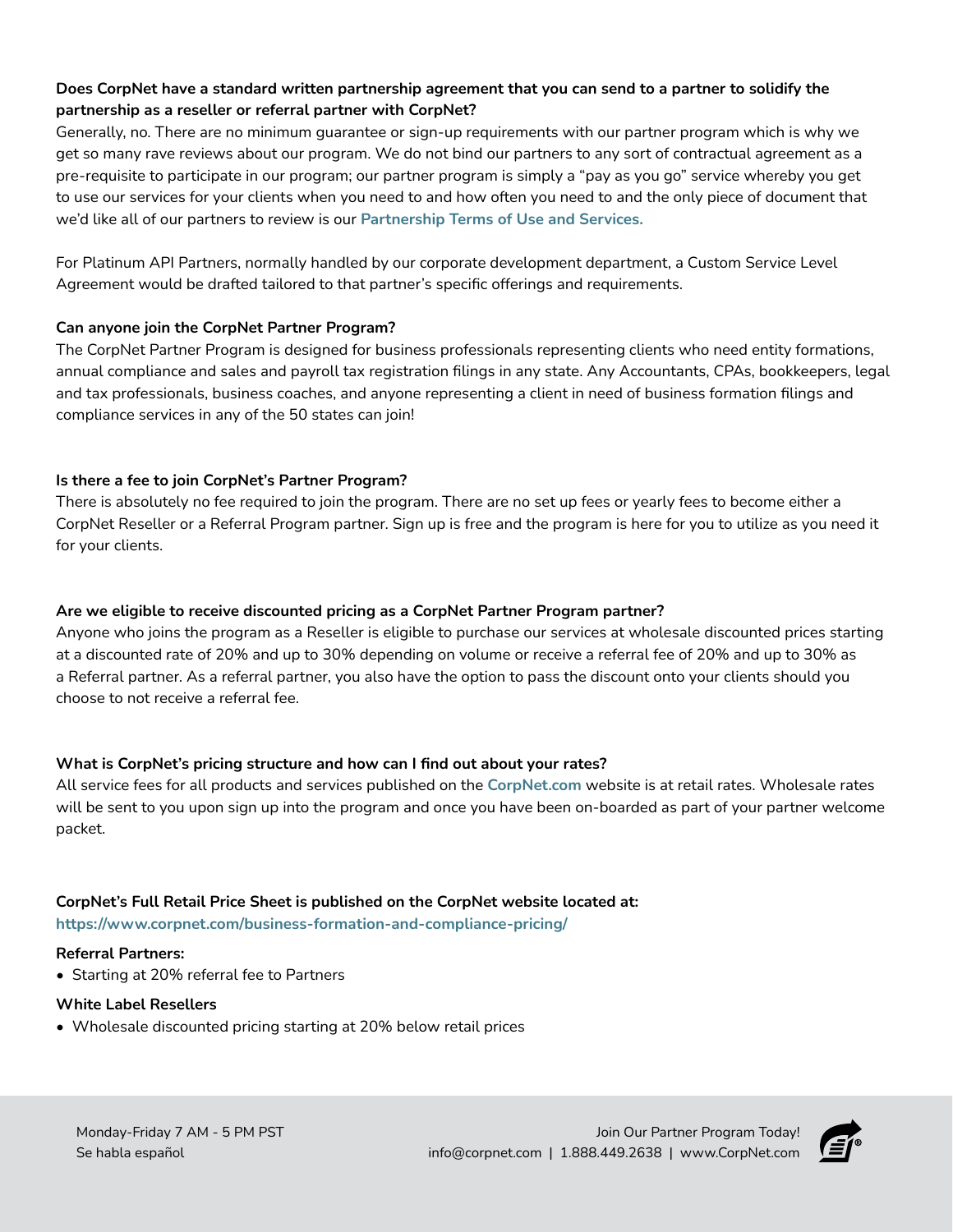# **Does CorpNet have a standard written partnership agreement that you can send to a partner to solidify the partnership as a reseller or referral partner with CorpNet?**

Generally, no. There are no minimum guarantee or sign-up requirements with our partner program which is why we get so many rave reviews about our program. We do not bind our partners to any sort of contractual agreement as a pre-requisite to participate in our program; our partner program is simply a "pay as you go" service whereby you get to use our services for your clients when you need to and how often you need to and the only piece of document that we'd like all of our partners to review is our **[Partnership Terms of Use and Services.](https://www.corpnet.com/legal/partner-program-affiliate-agreement/)** 

For Platinum API Partners, normally handled by our corporate development department, a Custom Service Level Agreement would be drafted tailored to that partner's specific offerings and requirements.

## **Can anyone join the CorpNet Partner Program?**

The CorpNet Partner Program is designed for business professionals representing clients who need entity formations, annual compliance and sales and payroll tax registration filings in any state. Any Accountants, CPAs, bookkeepers, legal and tax professionals, business coaches, and anyone representing a client in need of business formation filings and compliance services in any of the 50 states can join!

# **Is there a fee to join CorpNet's Partner Program?**

There is absolutely no fee required to join the program. There are no set up fees or yearly fees to become either a CorpNet Reseller or a Referral Program partner. Sign up is free and the program is here for you to utilize as you need it for your clients.

## **Are we eligible to receive discounted pricing as a CorpNet Partner Program partner?**

Anyone who joins the program as a Reseller is eligible to purchase our services at wholesale discounted prices starting at a discounted rate of 20% and up to 30% depending on volume or receive a referral fee of 20% and up to 30% as a Referral partner. As a referral partner, you also have the option to pass the discount onto your clients should you choose to not receive a referral fee[.](mailto:taxregsupport%40corpnet.com.%20?subject=)

#### **What is CorpNet's pricing structure and how can I find out about your rates?**

All service fees for all products and services published on the **[CorpNet.com](http://CorpNet.com)** website is at retail rates. Wholesale rates will be sent to you upon sign up into the program and once you have been on-boarded as part of your partner welcome packet.

#### **CorpNet's Full Retail Price Sheet is published on the CorpNet website located at: <https://www.corpnet.com/business-formation-and-compliance-pricing/>**

#### **Referral Partners:**

• Starting at 20% referral fee to Partners

#### **White Label Resellers**

• Wholesale discounted pricing starting at 20% below retail prices

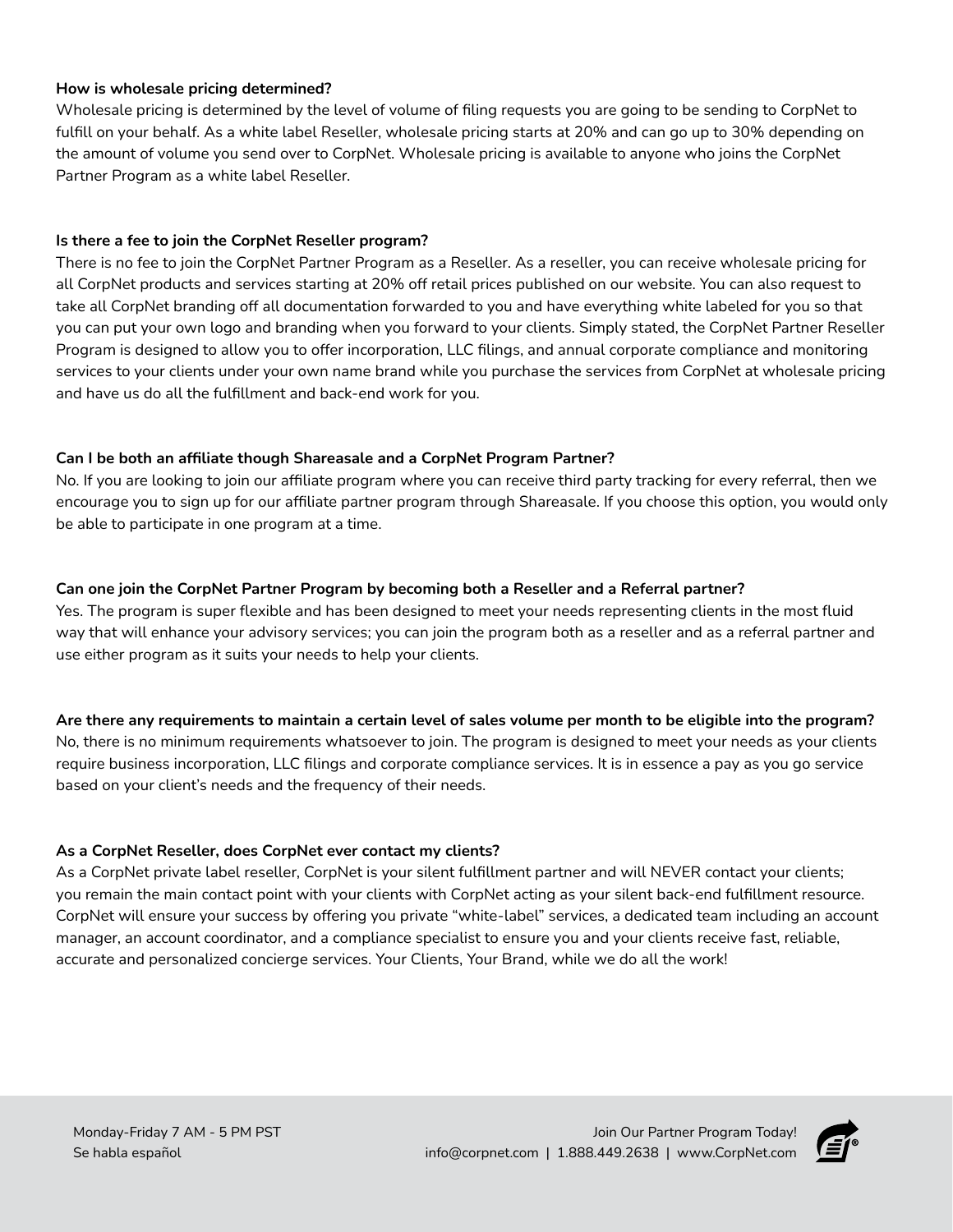## **How is wholesale pricing determined?**

Wholesale pricing is determined by the level of volume of filing requests you are going to be sending to CorpNet to fulfill on your behalf. As a white label Reseller, wholesale pricing starts at 20% and can go up to 30% depending on the amount of volume you send over to CorpNet. Wholesale pricing is available to anyone who joins the CorpNet Partner Program as a white label Reseller.

# **Is there a fee to join the CorpNet Reseller program?**

There is no fee to join the CorpNet Partner Program as a Reseller. As a reseller, you can receive wholesale pricing for all CorpNet products and services starting at 20% off retail prices published on our website. You can also request to take all CorpNet branding off all documentation forwarded to you and have everything white labeled for you so that you can put your own logo and branding when you forward to your clients. Simply stated, the CorpNet Partner Reseller Program is designed to allow you to offer incorporation, LLC filings, and annual corporate compliance and monitoring services to your clients under your own name brand while you purchase the services from CorpNet at wholesale pricing and have us do all the fulfillment and back-end work for you.

# **Can I be both an affiliate though Shareasale and a CorpNet Program Partner?**

No. If you are looking to join our affiliate program where you can receive third party tracking for every referral, then we encourage you to sign up for our affiliate partner program through Shareasale. If you choose this option, you would only be able to participate in one program at a time.

## **Can one join the CorpNet Partner Program by becoming both a Reseller and a Referral partner?**

Yes. The program is super flexible and has been designed to meet your needs representing clients in the most fluid way that will enhance your advisory services; you can join the program both as a reseller and as a referral partner and use either program as it suits your needs to help your clients.

**Are there any requirements to maintain a certain level of sales volume per month to be eligible into the program?** No, there is no minimum requirements whatsoever to join. The program is designed to meet your needs as your clients require business incorporation, LLC filings and corporate compliance services. It is in essence a pay as you go service based on your client's needs and the frequency of their needs.

# **As a CorpNet Reseller, does CorpNet ever contact my clients?**

As a CorpNet private label reseller, CorpNet is your silent fulfillment partner and will NEVER contact your clients; you remain the main contact point with your clients with CorpNet acting as your silent back-end fulfillment resource. CorpNet will ensure your success by offering you private "white-label" services, a dedicated team including an account manager, an account coordinator, and a compliance specialist to ensure you and your clients receive fast, reliable, accurate and personalized concierge services. Your Clients, Your Brand, while we do all the work!

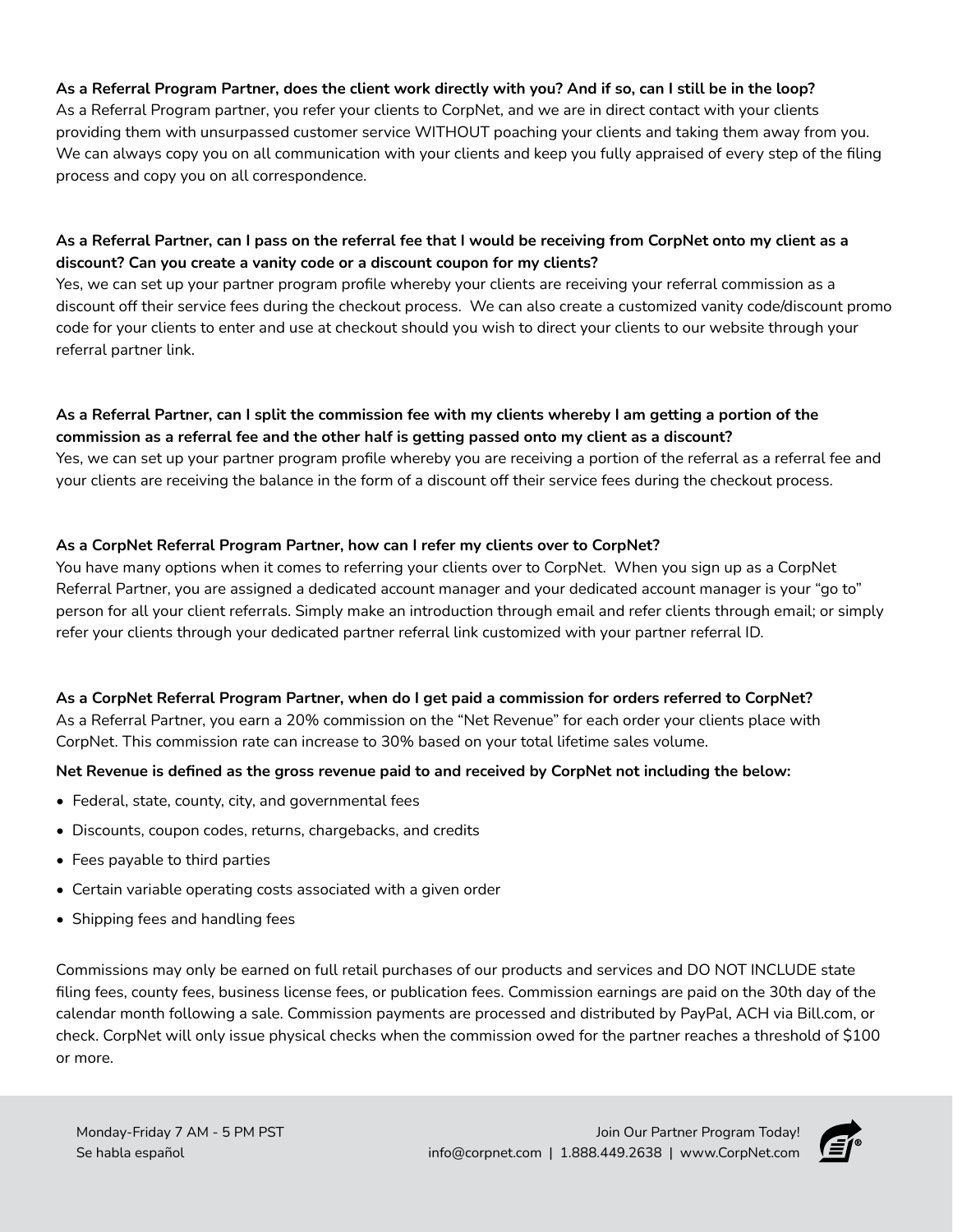# **As a Referral Program Partner, does the client work directly with you? And if so, can I still be in the loop?**

As a Referral Program partner, you refer your clients to CorpNet, and we are in direct contact with your clients providing them with unsurpassed customer service WITHOUT poaching your clients and taking them away from you. We can always copy you on all communication with your clients and keep you fully appraised of every step of the filing process and copy you on all correspondence.

# **As a Referral Partner, can I pass on the referral fee that I would be receiving from CorpNet onto my client as a discount? Can you create a vanity code or a discount coupon for my clients?**

Yes, we can set up your partner program profile whereby your clients are receiving your referral commission as a discount off their service fees during the checkout process. We can also create a customized vanity code/discount promo code for your clients to enter and use at checkout should you wish to direct your clients to our website through your referral partner link.

#### **As a Referral Partner, can I split the commission fee with my clients whereby I am getting a portion of the commission as a referral fee and the other half is getting passed onto my client as a discount?**

Yes, we can set up your partner program profile whereby you are receiving a portion of the referral as a referral fee and your clients are receiving the balance in the form of a discount off their service fees during the checkout process.

#### **As a CorpNet Referral Program Partner, how can I refer my clients over to CorpNet?**

You have many options when it comes to referring your clients over to CorpNet. When you sign up as a CorpNet Referral Partner, you are assigned a dedicated account manager and your dedicated account manager is your "go to" person for all your client referrals. Simply make an introduction through email and refer clients through email; or simply refer your clients through your dedicated partner referral link customized with your partner referral ID.

# **As a CorpNet Referral Program Partner, when do I get paid a commission for orders referred to CorpNet?**

As a Referral Partner, you earn a 20% commission on the "Net Revenue" for each order your clients place with CorpNet. This commission rate can increase to 30% based on your total lifetime sales volume.

#### **Net Revenue is defined as the gross revenue paid to and received by CorpNet not including the below:**

- Federal, state, county, city, and governmental fees
- Discounts, coupon codes, returns, chargebacks, and credits
- Fees payable to third parties
- Certain variable operating costs associated with a given order
- Shipping fees and handling fees

Commissions may only be earned on full retail purchases of our products and services and DO NOT INCLUDE state filing fees, county fees, business license fees, or publication fees. Commission earnings are paid on the 30th day of the calendar month following a sale. Commission payments are processed and distributed by PayPal, ACH via Bill.com, or check. CorpNet will only issue physical checks when the commission owed for the partner reaches a threshold of \$100 or more.

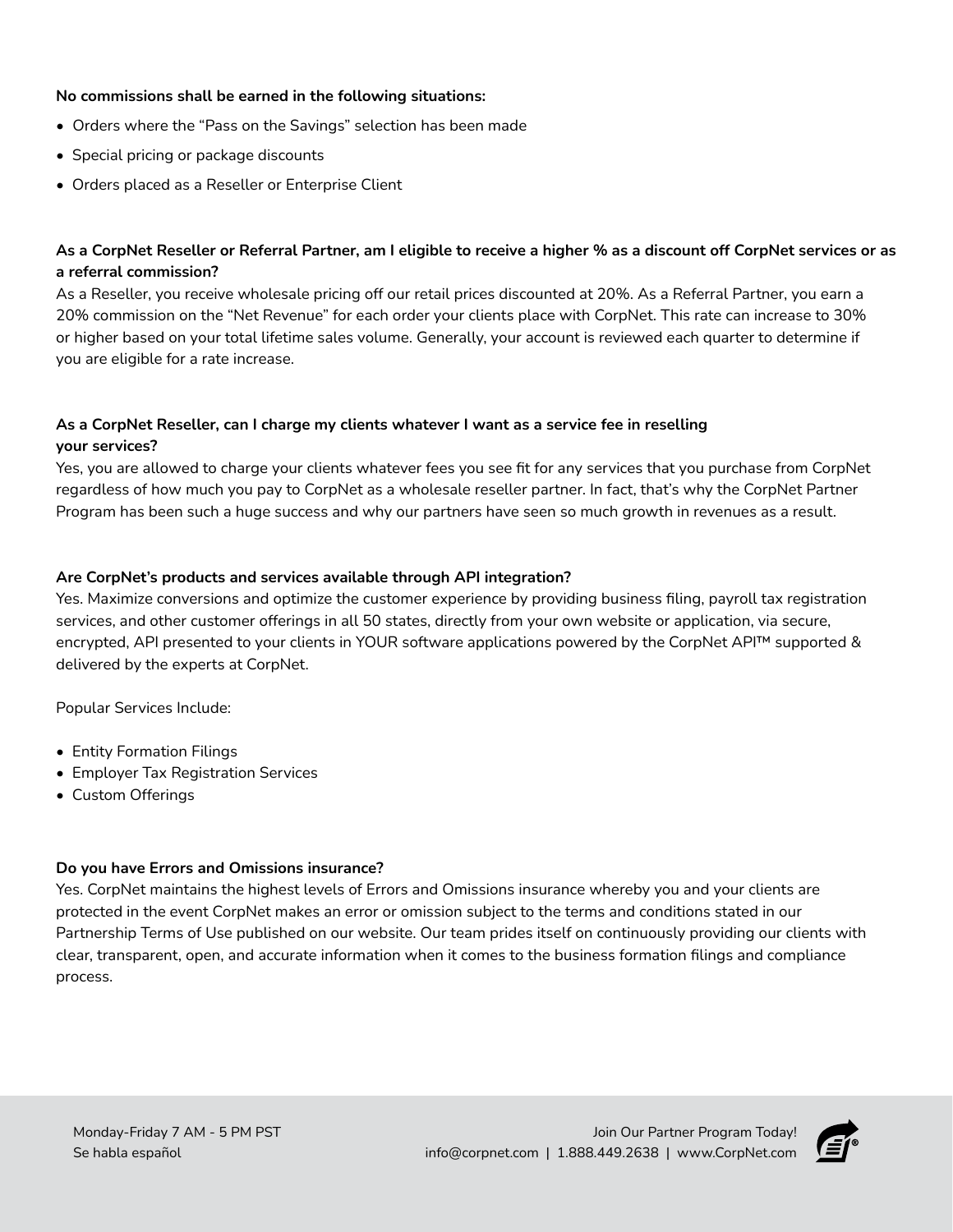#### **No commissions shall be earned in the following situations:**

- Orders where the "Pass on the Savings" selection has been made
- Special pricing or package discounts
- Orders placed as a Reseller or Enterprise Client

# **As a CorpNet Reseller or Referral Partner, am I eligible to receive a higher % as a discount off CorpNet services or as a referral commission?**

As a Reseller, you receive wholesale pricing off our retail prices discounted at 20%. As a Referral Partner, you earn a 20% commission on the "Net Revenue" for each order your clients place with CorpNet. This rate can increase to 30% or higher based on your total lifetime sales volume. Generally, your account is reviewed each quarter to determine if you are eligible for a rate increase.

# **As a CorpNet Reseller, can I charge my clients whatever I want as a service fee in reselling your services?**

Yes, you are allowed to charge your clients whatever fees you see fit for any services that you purchase from CorpNet regardless of how much you pay to CorpNet as a wholesale reseller partner. In fact, that's why the CorpNet Partner Program has been such a huge success and why our partners have seen so much growth in revenues as a result.

## **Are CorpNet's products and services available through API integration?**

Yes. Maximize conversions and optimize the customer experience by providing business filing, payroll tax registration services, and other customer offerings in all 50 states, directly from your own website or application, via secure, encrypted, API presented to your clients in YOUR software applications powered by the CorpNet API™ supported & delivered by the experts at CorpNet.

Popular Services Include:

- Entity Formation Filings
- Employer Tax Registration Services
- Custom Offerings

#### **Do you have Errors and Omissions insurance?**

Yes. CorpNet maintains the highest levels of Errors and Omissions insurance whereby you and your clients are protected in the event CorpNet makes an error or omission subject to the terms and conditions stated in our Partnership Terms of Use published on our website. Our team prides itself on continuously providing our clients with clear, transparent, open, and accurate information when it comes to the business formation filings and compliance process.

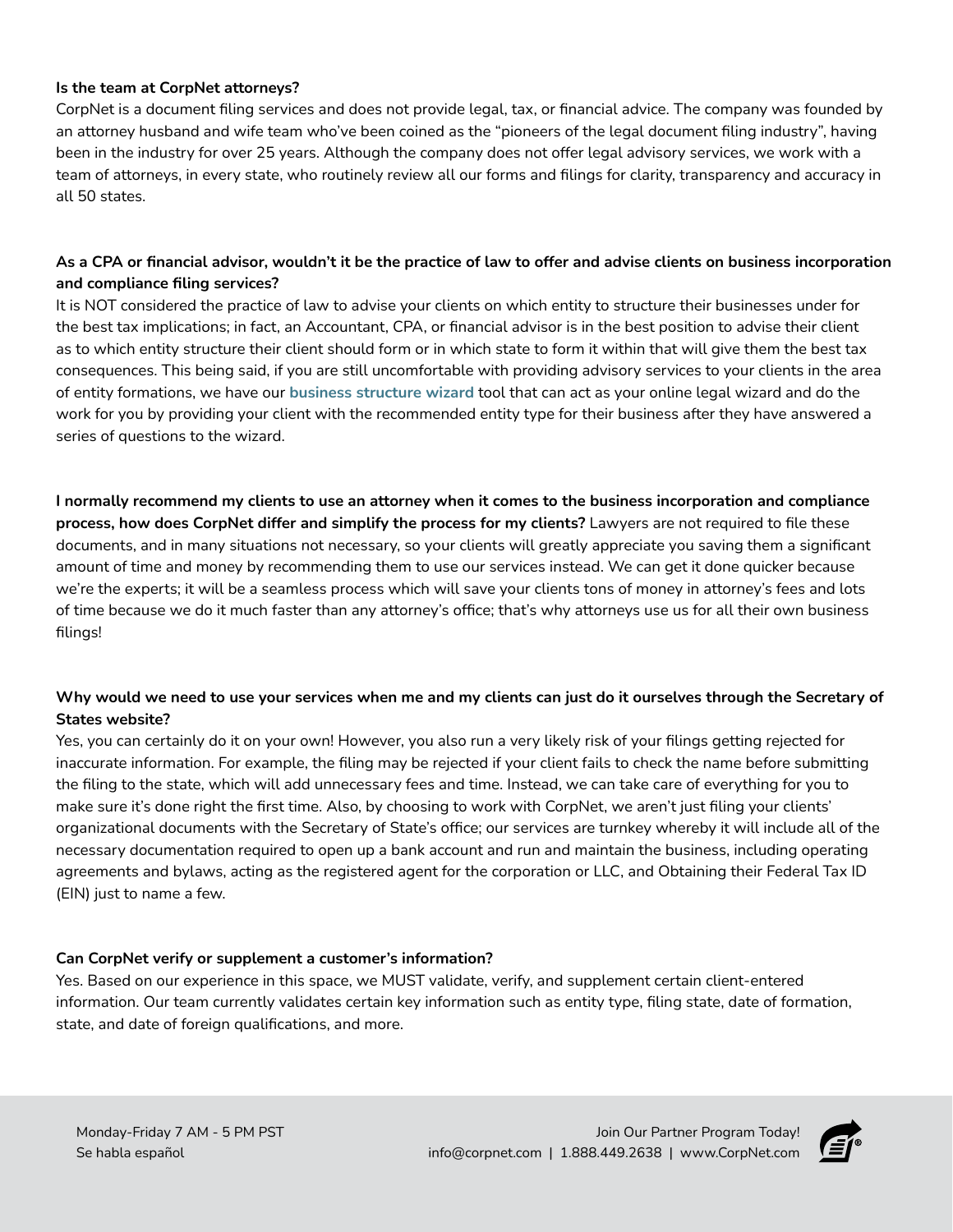#### **Is the team at CorpNet attorneys?**

CorpNet is a document filing services and does not provide legal, tax, or financial advice. The company was founded by an attorney husband and wife team who've been coined as the "pioneers of the legal document filing industry", having been in the industry for over 25 years. Although the company does not offer legal advisory services, we work with a team of attorneys, in every state, who routinely review all our forms and filings for clarity, transparency and accuracy in all 50 states.

# **As a CPA or financial advisor, wouldn't it be the practice of law to offer and advise clients on business incorporation and compliance filing services?**

It is NOT considered the practice of law to advise your clients on which entity to structure their businesses under for the best tax implications; in fact, an Accountant, CPA, or financial advisor is in the best position to advise their client as to which entity structure their client should form or in which state to form it within that will give them the best tax consequences. This being said, if you are still uncomfortable with providing advisory services to your clients in the area of entity formations, we have our **[business structure wizard](https://ssl.corpnet.com/business-structure-wizard/)** tool that can act as your online legal wizard and do the work for you by providing your client with the recommended entity type for their business after they have answered a series of questions to the wizard.

**I normally recommend my clients to use an attorney when it comes to the business incorporation and compliance process, how does CorpNet differ and simplify the process for my clients?** Lawyers are not required to file these documents, and in many situations not necessary, so your clients will greatly appreciate you saving them a significant amount of time and money by recommending them to use our services instead. We can get it done quicker because we're the experts; it will be a seamless process which will save your clients tons of money in attorney's fees and lots of time because we do it much faster than any attorney's office; that's why attorneys use us for all their own business filings!

# **Why would we need to use your services when me and my clients can just do it ourselves through the Secretary of States website?**

Yes, you can certainly do it on your own! However, you also run a very likely risk of your filings getting rejected for inaccurate information. For example, the filing may be rejected if your client fails to check the name before submitting the filing to the state, which will add unnecessary fees and time. Instead, we can take care of everything for you to make sure it's done right the first time. Also, by choosing to work with CorpNet, we aren't just filing your clients' organizational documents with the Secretary of State's office; our services are turnkey whereby it will include all of the necessary documentation required to open up a bank account and run and maintain the business, including operating agreements and bylaws, acting as the registered agent for the corporation or LLC, and Obtaining their Federal Tax ID (EIN) just to name a few.

# **Can CorpNet verify or supplement a customer's information?**

Yes. Based on our experience in this space, we MUST validate, verify, and supplement certain client-entered information. Our team currently validates certain key information such as entity type, filing state, date of formation, state, and date of foreign qualifications, and more.

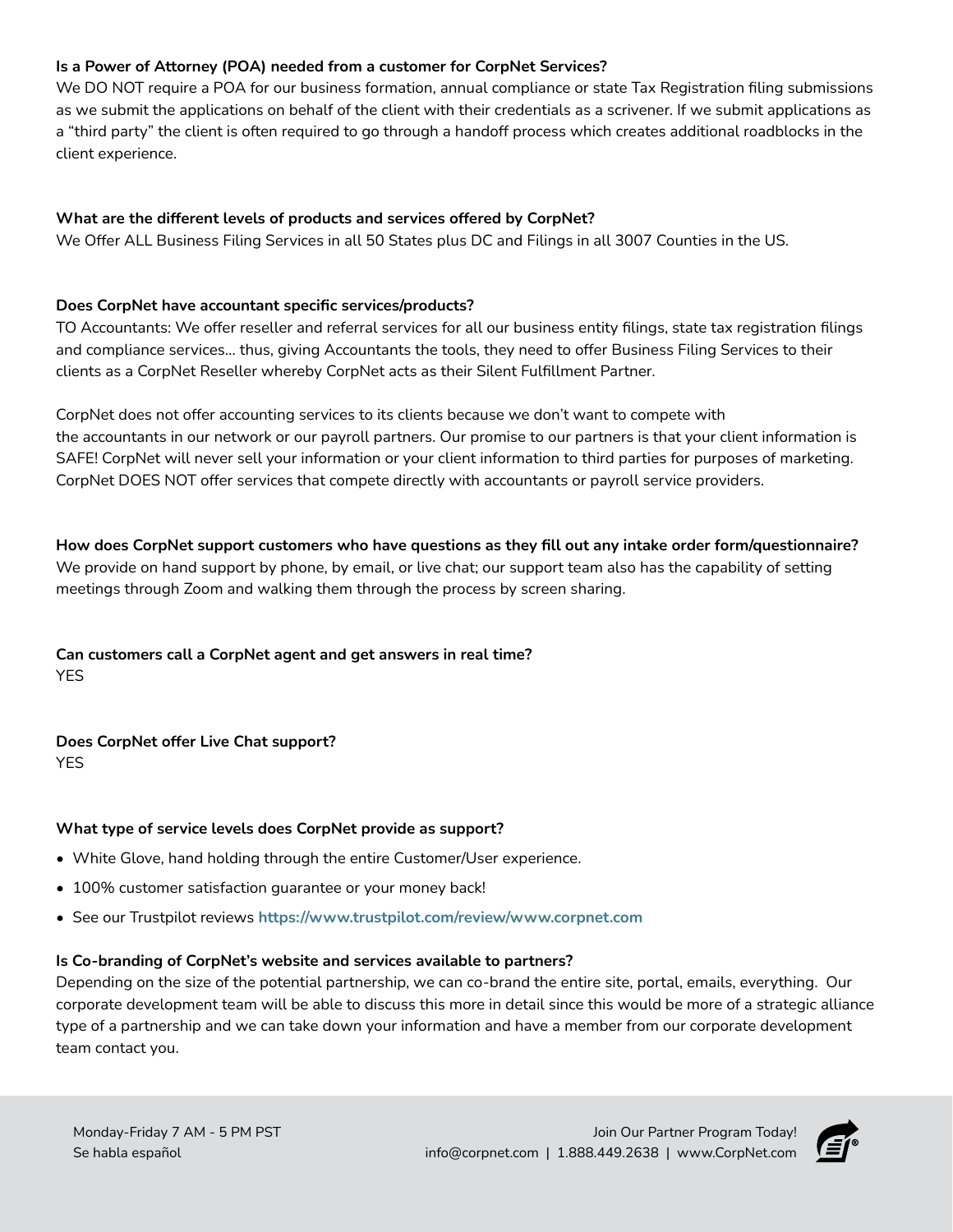# **Is a Power of Attorney (POA) needed from a customer for CorpNet Services?**

We DO NOT require a POA for our business formation, annual compliance or state Tax Registration filing submissions as we submit the applications on behalf of the client with their credentials as a scrivener. If we submit applications as a "third party" the client is often required to go through a handoff process which creates additional roadblocks in the client experience.

# **What are the different levels of products and services offered by CorpNet?**

We Offer ALL Business Filing Services in all 50 States plus DC and Filings in all 3007 Counties in the US.

#### **Does CorpNet have accountant specific services/products?**

TO Accountants: We offer reseller and referral services for all our business entity filings, state tax registration filings and compliance services… thus, giving Accountants the tools, they need to offer Business Filing Services to their clients as a CorpNet Reseller whereby CorpNet acts as their Silent Fulfillment Partner.

CorpNet does not offer accounting services to its clients because we don't want to compete with the accountants in our network or our payroll partners. Our promise to our partners is that your client information is SAFE! CorpNet will never sell your information or your client information to third parties for purposes of marketing. CorpNet DOES NOT offer services that compete directly with accountants or payroll service providers.

**How does CorpNet support customers who have questions as they fill out any intake order form/questionnaire?**  We provide on hand support by phone, by email, or live chat; our support team also has the capability of setting meetings through Zoom and walking them through the process by screen sharing.

# **Can customers call a CorpNet agent and get answers in real time?**  YES

**Does CorpNet offer Live Chat support?** 

YES

#### **What type of service levels does CorpNet provide as support?**

- White Glove, hand holding through the entire Customer/User experience.
- 100% customer satisfaction guarantee or your money back!
- See our Trustpilot reviews **https://www.trustpilot.com/review/www.corpnet.com**

#### **Is Co-branding of CorpNet's website and services available to partners?**

Depending on the size of the potential partnership, we can co-brand the entire site, portal, emails, everything. Our corporate development team will be able to discuss this more in detail since this would be more of a strategic alliance type of a partnership and we can take down your information and have a member from our corporate development team contact you.

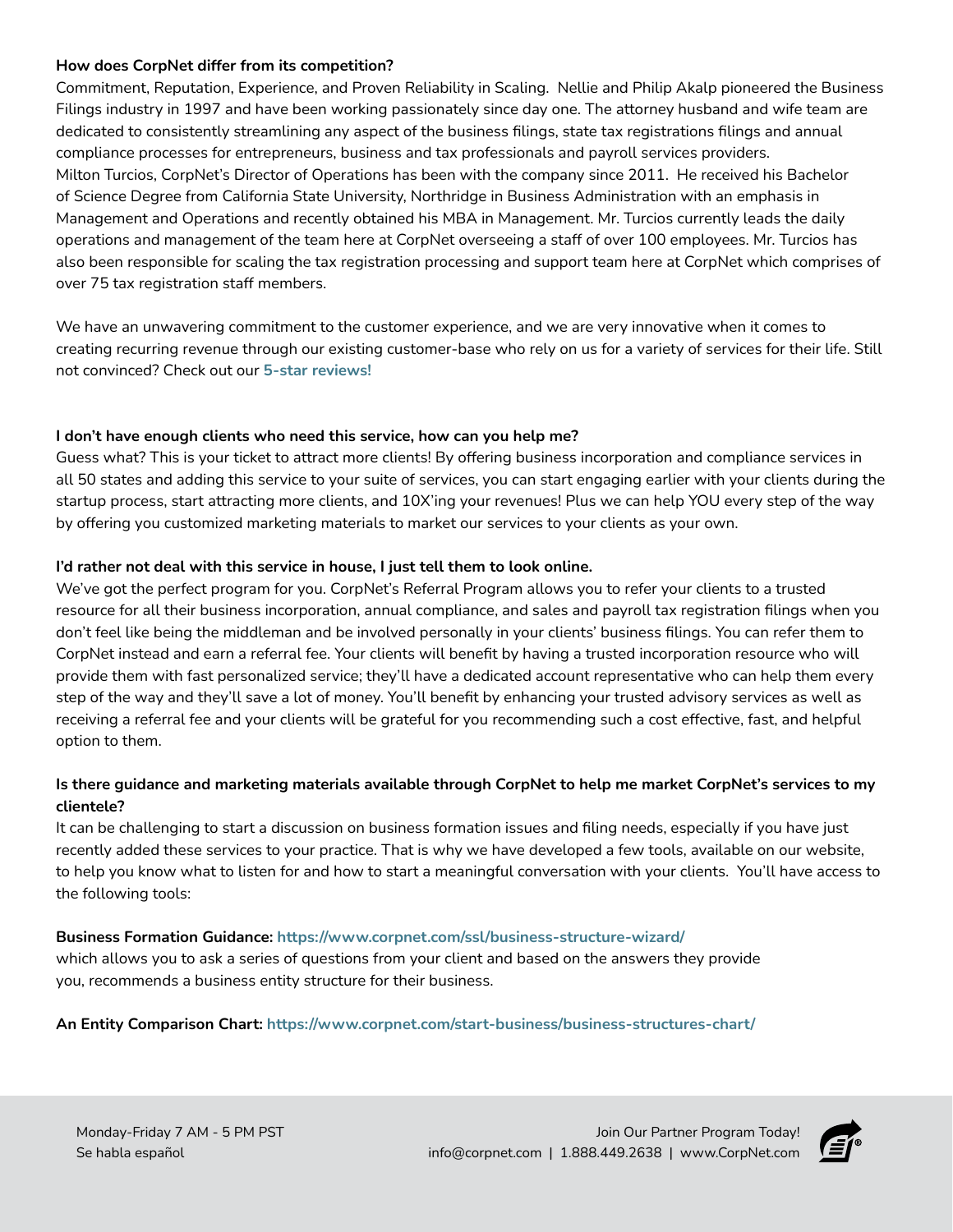#### **How does CorpNet differ from its competition?**

Commitment, Reputation, Experience, and Proven Reliability in Scaling. Nellie and Philip Akalp pioneered the Business Filings industry in 1997 and have been working passionately since day one. The attorney husband and wife team are dedicated to consistently streamlining any aspect of the business filings, state tax registrations filings and annual compliance processes for entrepreneurs, business and tax professionals and payroll services providers. Milton Turcios, CorpNet's Director of Operations has been with the company since 2011. He received his Bachelor of Science Degree from California State University, Northridge in Business Administration with an emphasis in Management and Operations and recently obtained his MBA in Management. Mr. Turcios currently leads the daily operations and management of the team here at CorpNet overseeing a staff of over 100 employees. Mr. Turcios has also been responsible for scaling the tax registration processing and support team here at CorpNet which comprises of over 75 tax registration staff members.

We have an unwavering commitment to the customer experience, and we are very innovative when it comes to creating recurring revenue through our existing customer-base who rely on us for a variety of services for their life. Still not convinced? Check out our **[5-star reviews!](https://www.corpnet.com/about/reviews/)**

#### **I don't have enough clients who need this service, how can you help me?**

Guess what? This is your ticket to attract more clients! By offering business incorporation and compliance services in all 50 states and adding this service to your suite of services, you can start engaging earlier with your clients during the startup process, start attracting more clients, and 10X'ing your revenues! Plus we can help YOU every step of the way by offering you customized marketing materials to market our services to your clients as your own.

## **I'd rather not deal with this service in house, I just tell them to look online.**

We've got the perfect program for you. CorpNet's Referral Program allows you to refer your clients to a trusted resource for all their business incorporation, annual compliance, and sales and payroll tax registration filings when you don't feel like being the middleman and be involved personally in your clients' business filings. You can refer them to CorpNet instead and earn a referral fee. Your clients will benefit by having a trusted incorporation resource who will provide them with fast personalized service; they'll have a dedicated account representative who can help them every step of the way and they'll save a lot of money. You'll benefit by enhancing your trusted advisory services as well as receiving a referral fee and your clients will be grateful for you recommending such a cost effective, fast, and helpful option to them.

# **Is there guidance and marketing materials available through CorpNet to help me market CorpNet's services to my clientele?**

It can be challenging to start a discussion on business formation issues and filing needs, especially if you have just recently added these services to your practice. That is why we have developed a few tools, available on our website, to help you know what to listen for and how to start a meaningful conversation with your clients. You'll have access to the following tools:

#### **Business Formation Guidance: [https://www.corpnet.com/ssl/business-structure-wizard/](https://www.corpnet.com/ssl/business-structure-wizard/ )**

which allows you to ask a series of questions from your client and based on the answers they provide you, recommends a business entity structure for their business.

#### **An Entity Comparison Chart: [https://www.corpnet.com/start-business/business-structures-chart/](https://www.corpnet.com/start-business/business-structures-chart/ )**